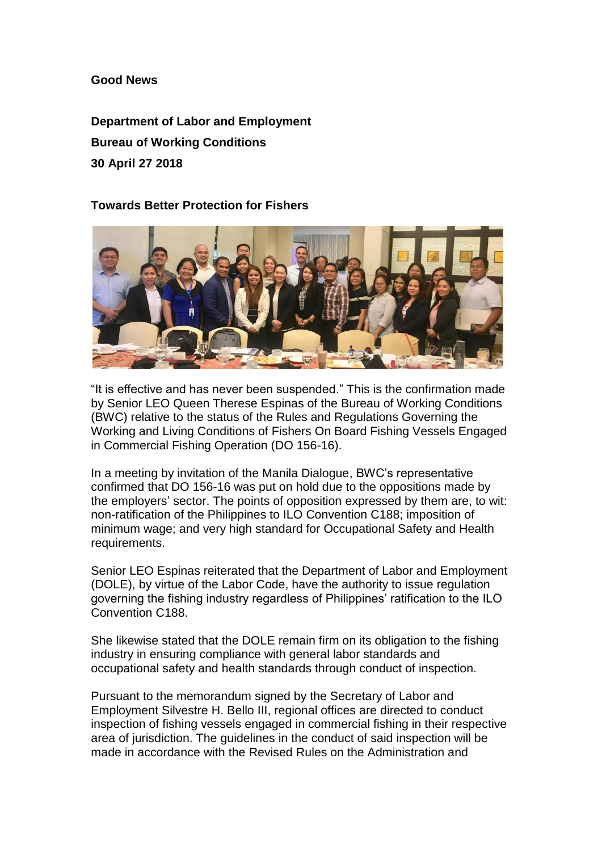**Good News**

**Department of Labor and Employment Bureau of Working Conditions 30 April 27 2018**

## **Towards Better Protection for Fishers**



"It is effective and has never been suspended." This is the confirmation made by Senior LEO Queen Therese Espinas of the Bureau of Working Conditions (BWC) relative to the status of the Rules and Regulations Governing the Working and Living Conditions of Fishers On Board Fishing Vessels Engaged in Commercial Fishing Operation (DO 156-16).

In a meeting by invitation of the Manila Dialogue, BWC's representative confirmed that DO 156-16 was put on hold due to the oppositions made by the employers' sector. The points of opposition expressed by them are, to wit: non-ratification of the Philippines to ILO Convention C188; imposition of minimum wage; and very high standard for Occupational Safety and Health requirements.

Senior LEO Espinas reiterated that the Department of Labor and Employment (DOLE), by virtue of the Labor Code, have the authority to issue regulation governing the fishing industry regardless of Philippines' ratification to the ILO Convention C188.

She likewise stated that the DOLE remain firm on its obligation to the fishing industry in ensuring compliance with general labor standards and occupational safety and health standards through conduct of inspection.

Pursuant to the memorandum signed by the Secretary of Labor and Employment Silvestre H. Bello III, regional offices are directed to conduct inspection of fishing vessels engaged in commercial fishing in their respective area of jurisdiction. The guidelines in the conduct of said inspection will be made in accordance with the Revised Rules on the Administration and